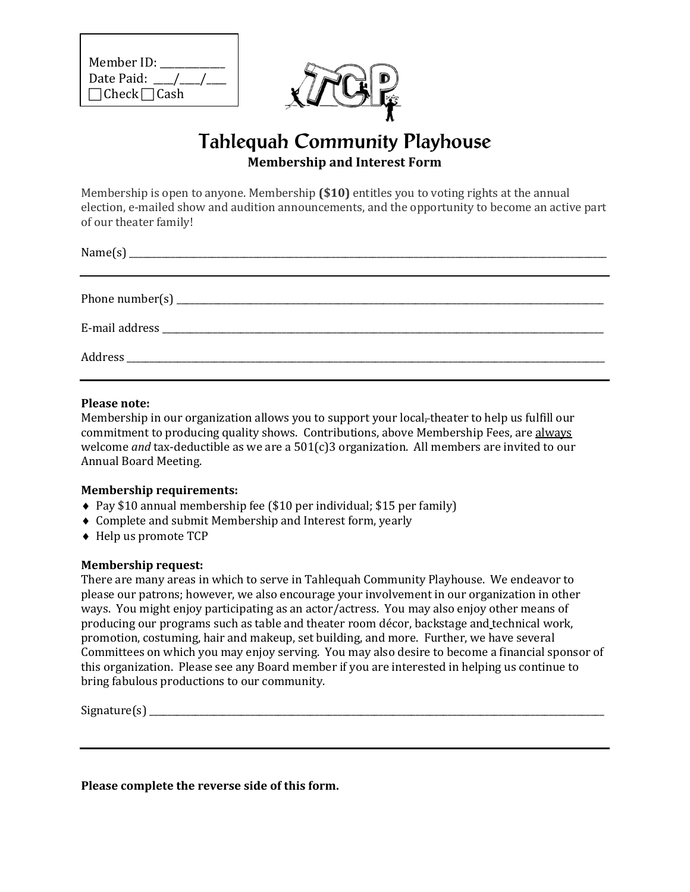| Member ID:               |
|--------------------------|
| Date Paid: /             |
| $\Box$ Check $\Box$ Cash |



## Tahlequah Community Playhouse **Membership and Interest Form**

Membership is open to anyone. Membership **(\$10)** entitles you to voting rights at the annual election, e-mailed show and audition announcements, and the opportunity to become an active part of our theater family!

## **Please note:**

Membership in our organization allows you to support your local-theater to help us fulfill our commitment to producing quality shows. Contributions, above Membership Fees, are always welcome *and* tax-deductible as we are a 501(c)3 organization. All members are invited to our Annual Board Meeting.

## **Membership requirements:**

- ♦ Pay \$10 annual membership fee (\$10 per individual; \$15 per family)
- ♦ Complete and submit Membership and Interest form, yearly
- ♦ Help us promote TCP

## **Membership request:**

There are many areas in which to serve in Tahlequah Community Playhouse. We endeavor to please our patrons; however, we also encourage your involvement in our organization in other ways. You might enjoy participating as an actor/actress. You may also enjoy other means of producing our programs such as table and theater room décor, backstage and technical work, promotion, costuming, hair and makeup, set building, and more. Further, we have several Committees on which you may enjoy serving. You may also desire to become a financial sponsor of this organization. Please see any Board member if you are interested in helping us continue to bring fabulous productions to our community.

 $Signature(s)$ 

**Please complete the reverse side of this form.**